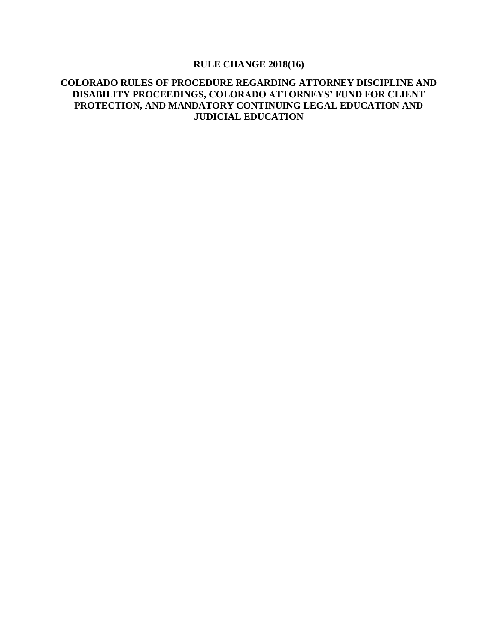# **RULE CHANGE 2018(16)**

## **COLORADO RULES OF PROCEDURE REGARDING ATTORNEY DISCIPLINE AND DISABILITY PROCEEDINGS, COLORADO ATTORNEYS' FUND FOR CLIENT PROTECTION, AND MANDATORY CONTINUING LEGAL EDUCATION AND JUDICIAL EDUCATION**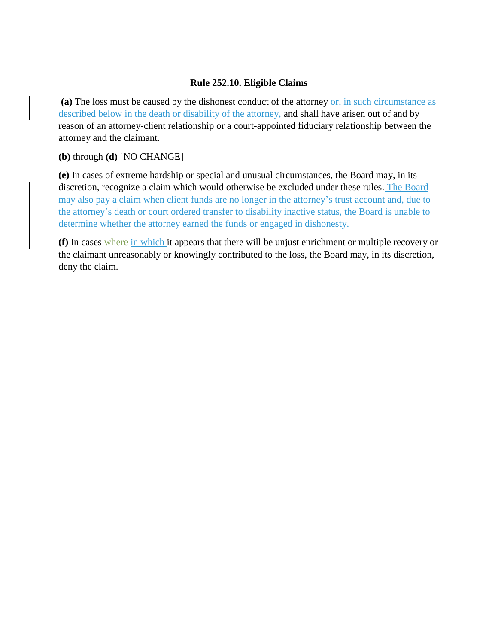### **Rule 252.10. Eligible Claims**

**(a)** The loss must be caused by the dishonest conduct of the attorney or, in such circumstance as described below in the death or disability of the attorney, and shall have arisen out of and by reason of an attorney-client relationship or a court-appointed fiduciary relationship between the attorney and the claimant.

**(b)** through **(d)** [NO CHANGE]

**(e)** In cases of extreme hardship or special and unusual circumstances, the Board may, in its discretion, recognize a claim which would otherwise be excluded under these rules. The Board may also pay a claim when client funds are no longer in the attorney's trust account and, due to the attorney's death or court ordered transfer to disability inactive status, the Board is unable to determine whether the attorney earned the funds or engaged in dishonesty.

**(f)** In cases where in which it appears that there will be unjust enrichment or multiple recovery or the claimant unreasonably or knowingly contributed to the loss, the Board may, in its discretion, deny the claim.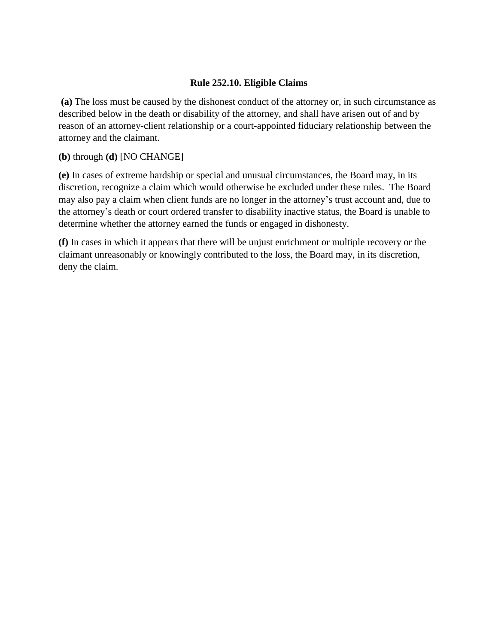### **Rule 252.10. Eligible Claims**

**(a)** The loss must be caused by the dishonest conduct of the attorney or, in such circumstance as described below in the death or disability of the attorney, and shall have arisen out of and by reason of an attorney-client relationship or a court-appointed fiduciary relationship between the attorney and the claimant.

### **(b)** through **(d)** [NO CHANGE]

**(e)** In cases of extreme hardship or special and unusual circumstances, the Board may, in its discretion, recognize a claim which would otherwise be excluded under these rules. The Board may also pay a claim when client funds are no longer in the attorney's trust account and, due to the attorney's death or court ordered transfer to disability inactive status, the Board is unable to determine whether the attorney earned the funds or engaged in dishonesty.

**(f)** In cases in which it appears that there will be unjust enrichment or multiple recovery or the claimant unreasonably or knowingly contributed to the loss, the Board may, in its discretion, deny the claim.